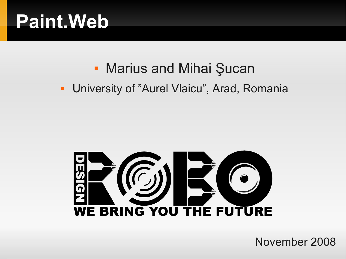### **Paint.Web**

#### **• Marius and Mihai Şucan**

#### **- University of "Aurel Vlaicu", Arad, Romania**



November 2008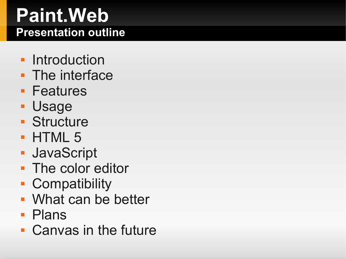#### **Paint.Web Presentation outline**

- **Introduction**
- **The interface**
- **Features**
- Usage
- **Structure**
- **HTML 5**
- JavaScript
- **The color editor**
- **Compatibility**
- What can be better
- **Plans**
- Canvas in the future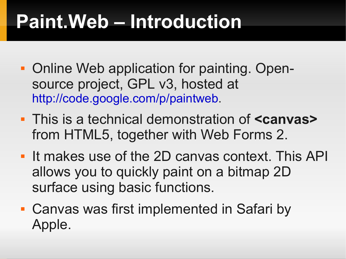# **Paint.Web – Introduction**

- **Online Web application for painting. Open**source project, GPL v3, hosted at [http://code.google.com/p/paintweb.](http://code.google.com/p/paintweb)
- This is a technical demonstration of **<canvas>** from HTML5, together with Web Forms 2.
- If makes use of the 2D canvas context. This API allows you to quickly paint on a bitmap 2D surface using basic functions.
- Canvas was first implemented in Safari by Apple.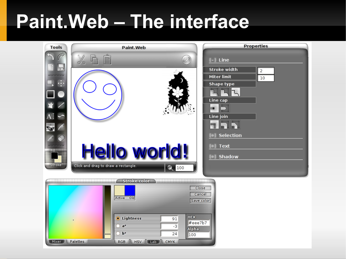### **Paint.Web – The interface**

| <b>Tools</b>                           | <b>Paint Web</b>                                                                                                                                                                          | <b>Properties</b>                                                                                                                                                            |
|----------------------------------------|-------------------------------------------------------------------------------------------------------------------------------------------------------------------------------------------|------------------------------------------------------------------------------------------------------------------------------------------------------------------------------|
| ₩<br>⊕<br><b>Fill</b><br><b>Stroke</b> | X<br>$\left( 2\right)$<br>Hello world!<br>Click and drag to draw a rectangle.<br>$Q_{100}$                                                                                                | $[-]$ Line<br><b>Stroke width</b><br>$\overline{2}$<br><b>Miter limit</b><br>10<br><b>Shape type</b><br>Line cap<br>ш<br>Line join<br>Selection<br><b>Text</b><br>[+] Shadow |
| Mixer )                                | <b>Stroke color</b><br>Active<br><b>Old</b><br><b>HEX</b><br><b>O</b> Lightness<br>91<br>#eee7b7<br>$a^*$<br>$-3$<br><b>Alpha</b><br>$b*$<br>24<br>100<br>HSV Lab CMYK<br>Palettes<br>RGB | Close<br>Cancel<br>Save color                                                                                                                                                |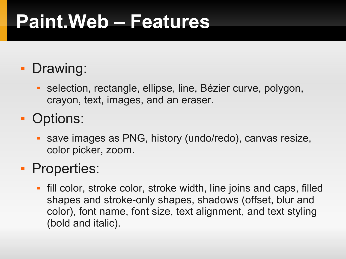## **Paint.Web – Features**

#### **Drawing:**

- selection, rectangle, ellipse, line, Bézier curve, polygon, crayon, text, images, and an eraser.
- **Options:** 
	- save images as PNG, history (undo/redo), canvas resize, color picker, zoom.

#### **Properties:**

E fill color, stroke color, stroke width, line joins and caps, filled shapes and stroke-only shapes, shadows (offset, blur and color), font name, font size, text alignment, and text styling (bold and italic).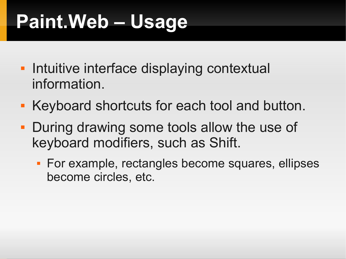# **Paint.Web – Usage**

- **Intuitive interface displaying contextual** information.
- **Keyboard shortcuts for each tool and button.**
- **During drawing some tools allow the use of** keyboard modifiers, such as Shift.
	- **For example, rectangles become squares, ellipses** become circles, etc.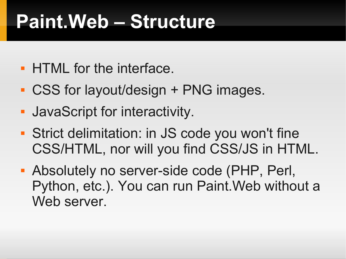### **Paint.Web – Structure**

- **HTML for the interface.**
- CSS for layout/design + PNG images.
- JavaScript for interactivity.
- Strict delimitation: in JS code you won't fine CSS/HTML, nor will you find CSS/JS in HTML.
- Absolutely no server-side code (PHP, Perl, Python, etc.). You can run Paint.Web without a Web server.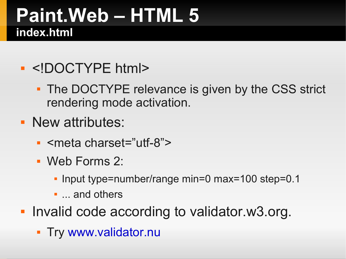#### **Paint.Web – HTML 5 index.html**

#### <!DOCTYPE html>

- The DOCTYPE relevance is given by the CSS strict rendering mode activation.
- **New attributes:** 
	- <meta charset="utf-8">
	- Web Forms 2:
		- Input type=number/range min=0 max=100 step=0.1
		- **...** and others
- **Invalid code according to validator.w3.org.** 
	- **Try [www.validator.nu](http://www.validator.nu/)**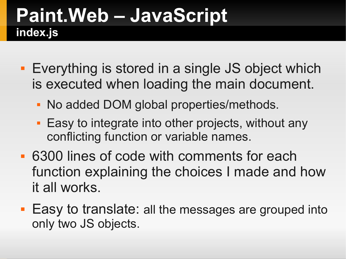### **Paint.Web – JavaScript index.js**

- **Everything is stored in a single JS object which** is executed when loading the main document.
	- No added DOM global properties/methods.
	- **Easy to integrate into other projects, without any** conflicting function or variable names.
- 6300 lines of code with comments for each function explaining the choices I made and how it all works.
- **Easy to translate: all the messages are grouped into** only two JS objects.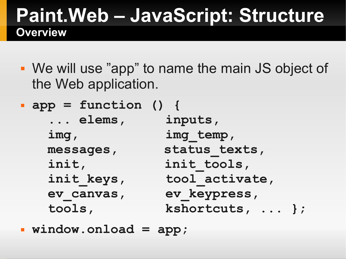#### **Paint.Web – JavaScript: Structure Overview**

- We will use "app" to name the main JS object of the Web application.
- **app = function () { ... elems, inputs,** img, img temp, messages, status texts, init, init tools, init keys, tool activate,  **ev\_canvas, ev\_keypress, tools, kshortcuts, ... };**

**window.onload = app;**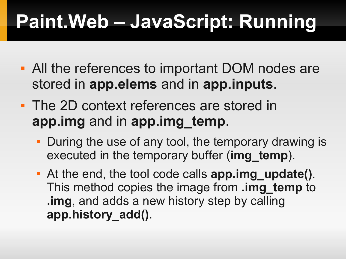- All the references to important DOM nodes are stored in **app.elems** and in **app.inputs**.
- **The 2D context references are stored in app.img** and in **app.img\_temp**.
	- During the use of any tool, the temporary drawing is executed in the temporary buffer (**img\_temp**).
	- At the end, the tool code calls **app.img\_update()**. This method copies the image from **.img\_temp** to **.img**, and adds a new history step by calling **app.history\_add()**.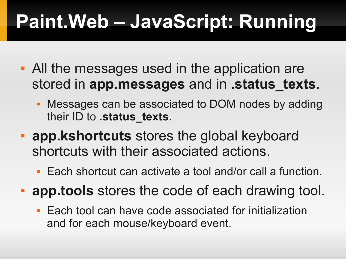- All the messages used in the application are stored in **app.messages** and in **.status\_texts**.
	- Messages can be associated to DOM nodes by adding their ID to **.status** texts.
- **app.kshortcuts** stores the global keyboard shortcuts with their associated actions.
	- Each shortcut can activate a tool and/or call a function.
- **app.tools** stores the code of each drawing tool.
	- **Each tool can have code associated for initialization** and for each mouse/keyboard event.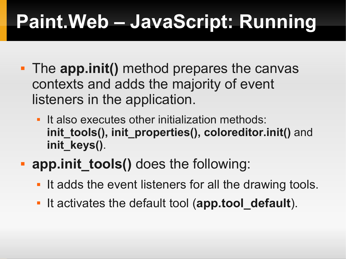- The **app.init()** method prepares the canvas contexts and adds the majority of event listeners in the application.
	- It also executes other initialization methods: init tools(), init properties(), coloreditor.init() and **init\_keys()**.
- **app.init tools()** does the following:
	- It adds the event listeners for all the drawing tools.
	- **It activates the default tool (app.tool\_default).**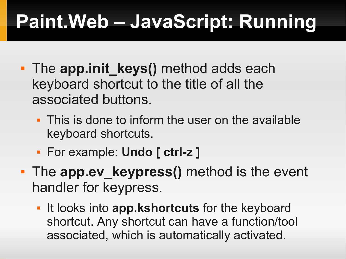- **The app.init keys()** method adds each keyboard shortcut to the title of all the associated buttons.
	- This is done to inform the user on the available keyboard shortcuts.
	- For example: **Undo [ ctrl-z ]**
- **The app.ev keypress()** method is the event handler for keypress.
	- **IF It looks into app.kshortcuts** for the keyboard shortcut. Any shortcut can have a function/tool associated, which is automatically activated.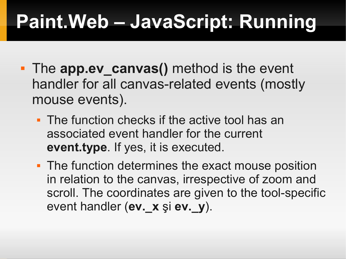- The **app.ev canvas()** method is the event handler for all canvas-related events (mostly mouse events).
	- **The function checks if the active tool has an** associated event handler for the current **event.type**. If yes, it is executed.
	- The function determines the exact mouse position in relation to the canvas, irrespective of zoom and scroll. The coordinates are given to the tool-specific event handler (**ev.\_x** şi **ev.\_y**).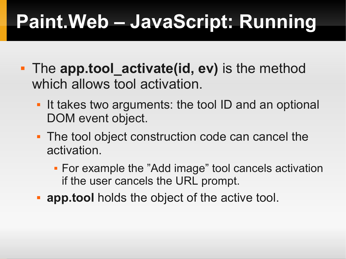- **The app.tool activate(id, ev)** is the method which allows tool activation.
	- If takes two arguments: the tool ID and an optional DOM event object.
	- The tool object construction code can cancel the activation.
		- For example the "Add image" tool cancels activation if the user cancels the URL prompt.
	- **app.tool** holds the object of the active tool.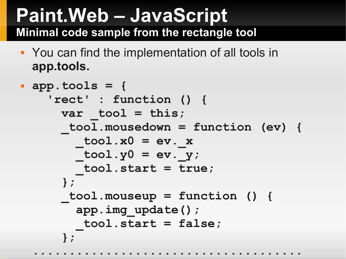#### **Paint.Web – JavaScript Minimal code sample from the rectangle tool**

 You can find the implementation of all tools in **app.tools.**

```
 app.tools = {
     'rect' : function () {
      var tool = this;
        _tool.mousedown = function (ev) {
        \text{tool.x0} = \text{ev. x}\text{tool.y0} = \text{ev. } y; _tool.start = true;
       };
       _tool.mouseup = function () {
         app.img_update();
         _tool.start = false;
       };
  .....................................
```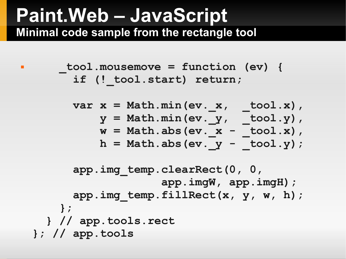#### **Paint.Web – JavaScript Minimal code sample from the rectangle tool**

```
 _tool.mousemove = function (ev) {
       if (! tool.start) return;
```

$$
var x = Math.min(ev. x, \t - tool.x),
$$
  
\n
$$
y = Math.min(ev. y, \t - tool.y),
$$
  
\n
$$
w = Math. abs(ev. x - tool.x),
$$
  
\n
$$
h = Math. abs(ev. y - tool.y);
$$

```
 app.img_temp.clearRect(0, 0,
                     app.imgW, app.imgH);
      app.img temp.fillRect(x, y, w, h);
     };
   } // app.tools.rect
}; // app.tools
```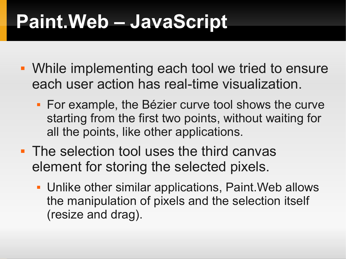## **Paint.Web – JavaScript**

- While implementing each tool we tried to ensure each user action has real-time visualization.
	- **For example, the Bézier curve tool shows the curve** starting from the first two points, without waiting for all the points, like other applications.
- **The selection tool uses the third canvas** element for storing the selected pixels.
	- Unlike other similar applications, Paint.Web allows the manipulation of pixels and the selection itself (resize and drag).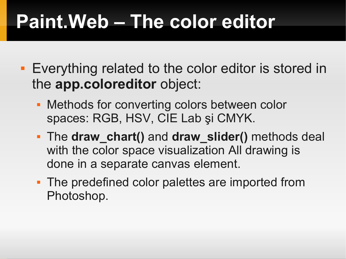## **Paint.Web – The color editor**

- **Exerything related to the color editor is stored in** the **app.coloreditor** object:
	- **Methods for converting colors between color** spaces: RGB, HSV, CIE Lab şi CMYK.
	- The **draw\_chart()** and **draw\_slider()** methods deal with the color space visualization All drawing is done in a separate canvas element.
	- **The predefined color palettes are imported from** Photoshop.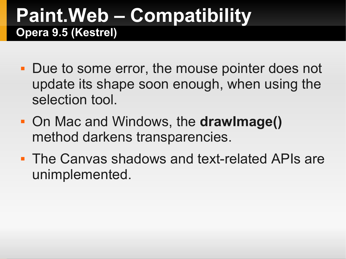#### **Paint.Web – Compatibility Opera 9.5 (Kestrel)**

- Due to some error, the mouse pointer does not update its shape soon enough, when using the selection tool.
- On Mac and Windows, the **drawImage()** method darkens transparencies.
- **The Canvas shadows and text-related APIs are** unimplemented.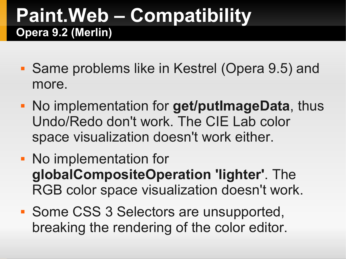#### **Paint.Web – Compatibility Opera 9.2 (Merlin)**

- Same problems like in Kestrel (Opera 9.5) and more.
- No implementation for **get/putImageData**, thus Undo/Redo don't work. The CIE Lab color space visualization doesn't work either.
- No implementation for **globalCompositeOperation 'lighter'**. The RGB color space visualization doesn't work.
- **Some CSS 3 Selectors are unsupported,** breaking the rendering of the color editor.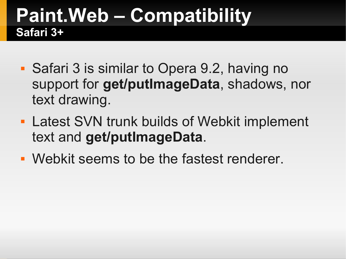#### **Paint.Web – Compatibility Safari 3+**

- Safari 3 is similar to Opera 9.2, having no support for **get/putImageData**, shadows, nor text drawing.
- **Latest SVN trunk builds of Webkit implement** text and **get/putImageData**.
- Webkit seems to be the fastest renderer.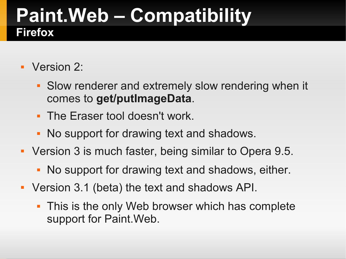#### **Paint.Web – Compatibility Firefox**

- Version 2:
	- **Slow renderer and extremely slow rendering when it** comes to **get/putImageData**.
	- The Eraser tool doesn't work.
	- No support for drawing text and shadows.
- Version 3 is much faster, being similar to Opera 9.5.
	- No support for drawing text and shadows, either.
- Version 3.1 (beta) the text and shadows API.
	- **This is the only Web browser which has complete** support for Paint.Web.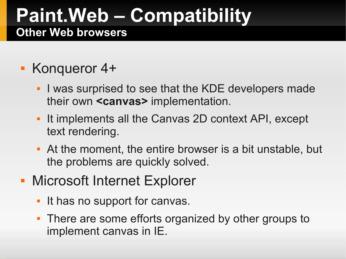#### **Paint.Web – Compatibility Other Web browsers**

#### Konqueror 4+

- E I was surprised to see that the KDE developers made their own **<canvas>** implementation.
- It implements all the Canvas 2D context API, except text rendering.
- At the moment, the entire browser is a bit unstable, but the problems are quickly solved.
- **Microsoft Internet Explorer** 
	- It has no support for canvas.
	- There are some efforts organized by other groups to implement canvas in IE.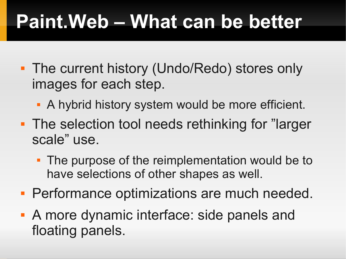# **Paint.Web – What can be better**

- **The current history (Undo/Redo) stores only** images for each step.
	- A hybrid history system would be more efficient.
- **The selection tool needs rethinking for "larger"** scale" use.
	- The purpose of the reimplementation would be to have selections of other shapes as well.
- **Performance optimizations are much needed.**
- A more dynamic interface: side panels and floating panels.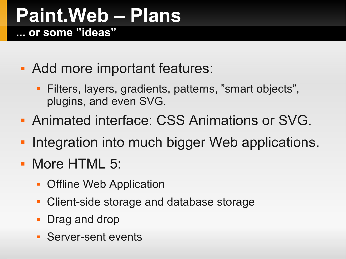#### **Paint.Web – Plans ... or some "ideas"**

- Add more important features:
	- Filters, layers, gradients, patterns, "smart objects", plugins, and even SVG.
- **Animated interface: CSS Animations or SVG.**
- п. Integration into much bigger Web applications.
- **More HTML 5:** 
	- **Offline Web Application**
	- Client-side storage and database storage
	- Drag and drop
	- Server-sent events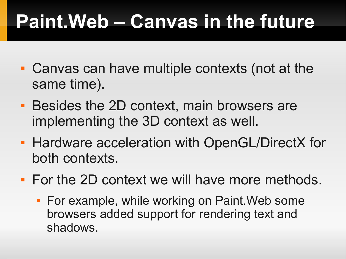# **Paint.Web – Canvas in the future**

- Canvas can have multiple contexts (not at the same time).
- **Besides the 2D context, main browsers are** implementing the 3D context as well.
- **Hardware acceleration with OpenGL/DirectX for** both contexts.
- **For the 2D context we will have more methods.** 
	- **For example, while working on Paint. Web some** browsers added support for rendering text and shadows.